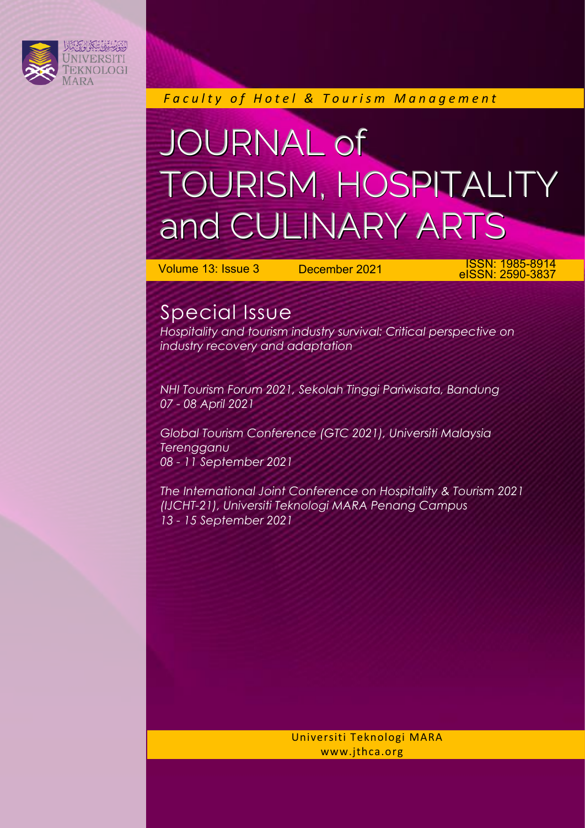

*F a c u l t y o f H o t e l & T o u r i s m M a n a g e m e n t*

## JOURNAL of TOURISM, HOSPITALITY and CULINARY ARTS

Volume 13: Issue 3 December 2021 ISSN: 1985-8914 eISSN: 2590-3837

## Special Issue

*Hospitality and tourism industry survival: Critical perspective on industry recovery and adaptation*

*NHI Tourism Forum 2021, Sekolah Tinggi Pariwisata, Bandung 07 - 08 April 2021*

*Global Tourism Conference (GTC 2021), Universiti Malaysia Terengganu 08 - 11 September 2021*

*The International Joint Conference on Hospitality & Tourism 2021 (IJCHT-21), Universiti Teknologi MARA Penang Campus 13 - 15 September 2021*

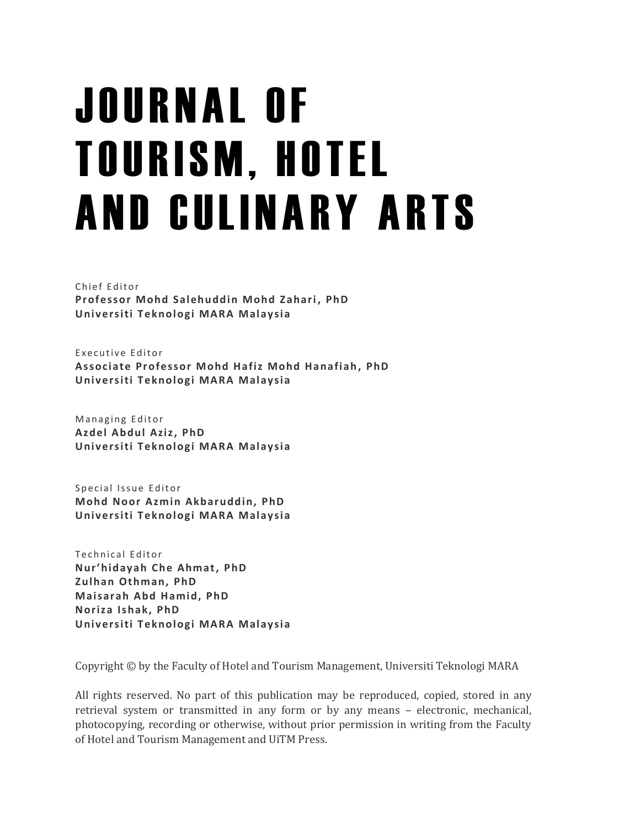# J O U R N A L O F **TOURISM, HOTEL** AND CULINARY ARTS

Chief Editor **Professor Mohd Salehuddin Mohd Zahari , PhD Univ ersiti T eknologi MARA Malaysia**

Executive Editor **Assoc iate Professor Mohd Hafiz Mohd Hanafiah, PhD Univ ersiti T eknologi MARA Malaysia**

Managing Editor **Az del Abdul Aziz, PhD Univ ersiti T eknologi MARA Malaysia**

Special Issue Editor **Mohd Noor Azmin Akbaruddin, PhD Univ ersiti T eknologi MARA Malaysia**

Technical Editor **Nur'hidayah Che Ahmat, PhD Zulhan Othman, PhD Maisarah Abd Hamid, PhD Noriza Ishak, PhD Univ ersiti T eknologi MARA Malaysia**

Copyright © by the Faculty of Hotel and Tourism Management, Universiti Teknologi MARA

All rights reserved. No part of this publication may be reproduced, copied, stored in any retrieval system or transmitted in any form or by any means – electronic, mechanical, photocopying, recording or otherwise, without prior permission in writing from the Faculty of Hotel and Tourism Management and UiTM Press.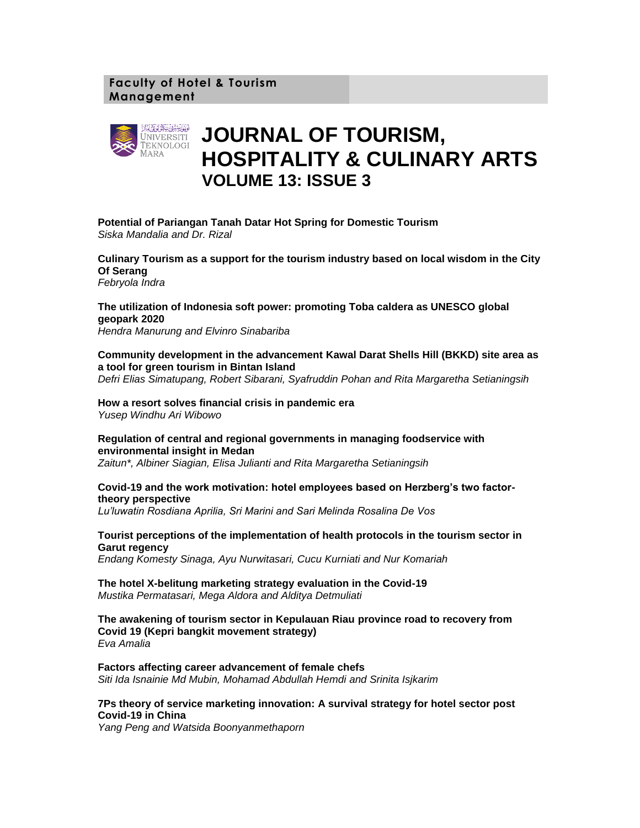## **Faculty of Hotel & Tourism Management**



## **JOURNAL OF TOURISM, HOSPITALITY & CULINARY ARTS VOLUME 13: ISSUE 3**

**Potential of Pariangan Tanah Datar Hot Spring for Domestic Tourism** *Siska Mandalia and Dr. Rizal*

**Culinary Tourism as a support for the tourism industry based on local wisdom in the City Of Serang** *Febryola Indra*

**The utilization of Indonesia soft power: promoting Toba caldera as UNESCO global geopark 2020**

*Hendra Manurung and Elvinro Sinabariba*

**Community development in the advancement Kawal Darat Shells Hill (BKKD) site area as a tool for green tourism in Bintan Island** *Defri Elias Simatupang, Robert Sibarani, Syafruddin Pohan and Rita Margaretha Setianingsih*

**How a resort solves financial crisis in pandemic era** *Yusep Windhu Ari Wibowo*

**Regulation of central and regional governments in managing foodservice with environmental insight in Medan**

*Zaitun\*, Albiner Siagian, Elisa Julianti and Rita Margaretha Setianingsih*

#### **Covid-19 and the work motivation: hotel employees based on Herzberg's two factortheory perspective**

*Lu'luwatin Rosdiana Aprilia, Sri Marini and Sari Melinda Rosalina De Vos*

**Tourist perceptions of the implementation of health protocols in the tourism sector in Garut regency**

*Endang Komesty Sinaga, Ayu Nurwitasari, Cucu Kurniati and Nur Komariah*

#### **The hotel X-belitung marketing strategy evaluation in the Covid-19** *Mustika Permatasari, Mega Aldora and Alditya Detmuliati*

**The awakening of tourism sector in Kepulauan Riau province road to recovery from Covid 19 (Kepri bangkit movement strategy)** *Eva Amalia*

**Factors affecting career advancement of female chefs** *Siti Ida Isnainie Md Mubin, Mohamad Abdullah Hemdi and Srinita Isjkarim*

### **7Ps theory of service marketing innovation: A survival strategy for hotel sector post Covid-19 in China**

*Yang Peng and Watsida Boonyanmethaporn*